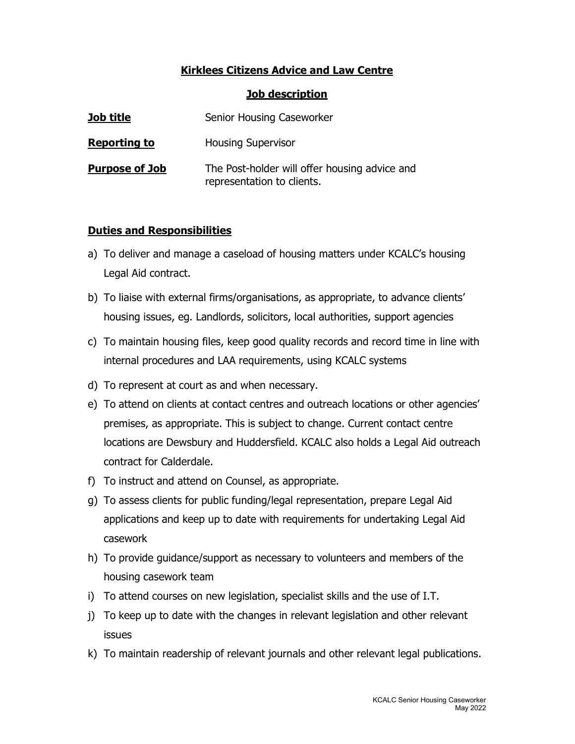## Kirklees Citizens Advice and Law Centre

## Job description

| Job title             | Senior Housing Caseworker                                                   |
|-----------------------|-----------------------------------------------------------------------------|
| <b>Reporting to</b>   | <b>Housing Supervisor</b>                                                   |
| <b>Purpose of Job</b> | The Post-holder will offer housing advice and<br>representation to clients. |

## Duties and Responsibilities

- a) To deliver and manage a caseload of housing matters under KCALC's housing Legal Aid contract.
- b) To liaise with external firms/organisations, as appropriate, to advance clients' housing issues, eg. Landlords, solicitors, local authorities, support agencies
- c) To maintain housing files, keep good quality records and record time in line with internal procedures and LAA requirements, using KCALC systems
- d) To represent at court as and when necessary.
- e) To attend on clients at contact centres and outreach locations or other agencies' premises, as appropriate. This is subject to change. Current contact centre locations are Dewsbury and Huddersfield. KCALC also holds a Legal Aid outreach contract for Calderdale.
- f) To instruct and attend on Counsel, as appropriate.
- g) To assess clients for public funding/legal representation, prepare Legal Aid applications and keep up to date with requirements for undertaking Legal Aid casework
- h) To provide guidance/support as necessary to volunteers and members of the housing casework team
- i) To attend courses on new legislation, specialist skills and the use of I.T.
- j) To keep up to date with the changes in relevant legislation and other relevant issues
- k) To maintain readership of relevant journals and other relevant legal publications.